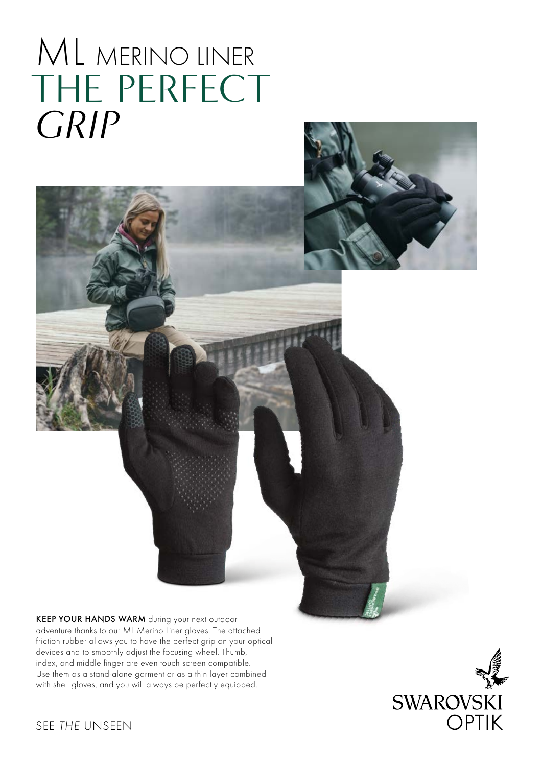## ML MERINO LINER THE PERFECT *GRIP*

KEEP YOUR HANDS WARM during your next outdoor adventure thanks to our ML Merino Liner gloves. The attached friction rubber allows you to have the perfect grip on your optical devices and to smoothly adjust the focusing wheel. Thumb, index, and middle finger are even touch screen compatible. Use them as a stand-alone garment or as a thin layer combined with shell gloves, and you will always be perfectly equipped.



SEE *THE* UNSEEN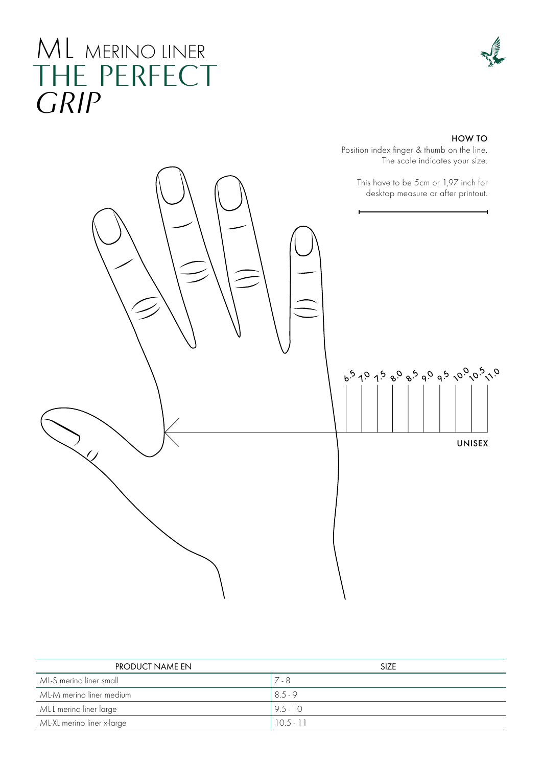### ML MERINO LINER THE PERFECT *GRIP*

#### HOW TO

Position index finger & thumb on the line. The scale indicates your size.



| PRODUCT NAME EN            | <b>SIZE</b> |
|----------------------------|-------------|
| ML-S merino liner small    | $7 - 8$     |
| ML-M merino liner medium   | 8.5.9       |
| ML-L merino liner large    | $9.5 - 10$  |
| ML-XL merino liner x-large | $10.5 - 11$ |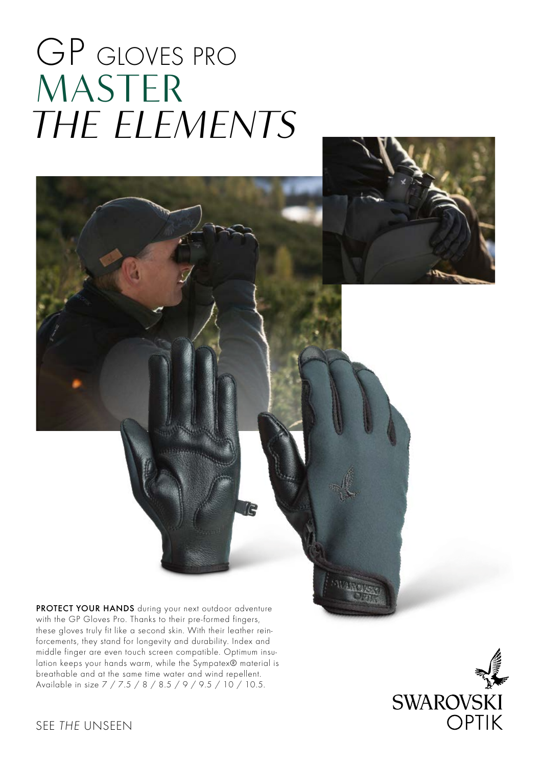# GP GLOVES PRO MASTER *THE ELEMENTS*



PROTECT YOUR HANDS during your next outdoor adventure with the GP Gloves Pro. Thanks to their pre-formed fingers, these gloves truly fit like a second skin. With their leather reinforcements, they stand for longevity and durability. Index and middle finger are even touch screen compatible. Optimum insulation keeps your hands warm, while the Sympatex® material is breathable and at the same time water and wind repellent. Available in size 7 / 7.5 / 8 / 8.5 / 9 / 9.5 / 10 / 10.5.



### SEE *THE* UNSEEN